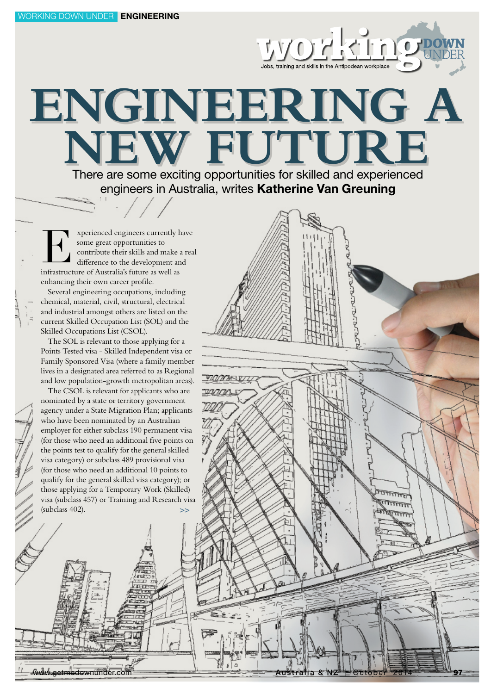# **ENGINEERING A** NEW FUTURE There are some exciting opportunities for skilled and experienced

**WORKINGE** 

engineers in Australia, writes Katherine Van Greuning

xperienced engineers currently have some great opportunities to contribute their skills and make a real difference to the development and Experienced engineers currently h<br>
some great opportunities to<br>
contribute their skills and make a<br>
difference to the development an<br>
infrastructure of Australia's future as well as enhancing their own career profile.

Several engineering occupations, including chemical, material, civil, structural, electrical and industrial amongst others are listed on the current Skilled Occupation List (SOL) and the Skilled Occupations List (CSOL).

The SOL is relevant to those applying for a Points Tested visa - Skilled Independent visa or Family Sponsored Visa (where a family member lives in a designated area referred to as Regional and low population-growth metropolitan areas).

The CSOL is relevant for applicants who are nominated by a state or territory government agency under a State Migration Plan; applicants who have been nominated by an Australian employer for either subclass 190 permanent visa (for those who need an additional five points on the points test to qualify for the general skilled visa category) or subclass 489 provisional visa (for those who need an additional 10 points to qualify for the general skilled visa category); or those applying for a Temporary Work (Skilled) visa (subclass 457) or Training and Research visa (subclass 402).

ww.getmedownunder.com